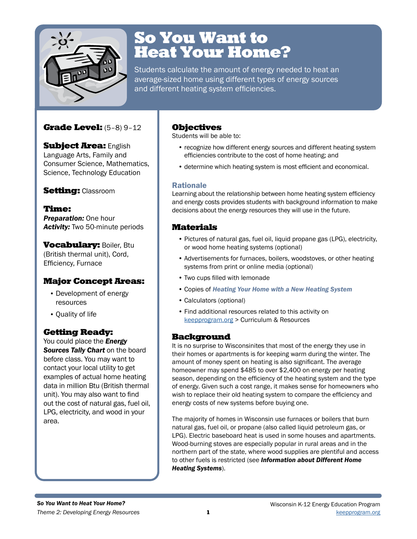

# So You Want to Heat Your Home?

Students calculate the amount of energy needed to heat an average-sized home using different types of energy sources and different heating system efficiencies.

## Grade Level: (5–8) 9–12

**Subject Area: English** Language Arts, Family and Consumer Science, Mathematics, Science, Technology Education

## **Setting: Classroom**

Time: *Preparation:* One hour *Activity:* Two 50-minute periods

**Vocabulary: Boiler, Btu** (British thermal unit), Cord, Efficiency, Furnace

## Major Concept Areas:

- Development of energy resources
- Quality of life

# Getting Ready:

You could place the *Energy Sources Tally Chart* on the board before class. You may want to contact your local utility to get examples of actual home heating data in million Btu (British thermal unit). You may also want to find out the cost of natural gas, fuel oil, LPG, electricity, and wood in your area.

## Objectives

Students will be able to:

- recognize how different energy sources and different heating system efficiencies contribute to the cost of home heating; and
- determine which heating system is most efficient and economical.

## Rationale

Learning about the relationship between home heating system efficiency and energy costs provides students with background information to make decisions about the energy resources they will use in the future.

## Materials

- Pictures of natural gas, fuel oil, liquid propane gas (LPG), electricity, or wood home heating systems (optional)
- Advertisements for furnaces, boilers, woodstoves, or other heating systems from print or online media (optional)
- Two cups filled with lemonade
- Copies of *Heating Your Home with a New Heating System*
- Calculators (optional)
- Find additional resources related to this activity on [keepprogram.org](http://keepprogram.org) > Curriculum & Resources

### Background

It is no surprise to Wisconsinites that most of the energy they use in their homes or apartments is for keeping warm during the winter. The amount of money spent on heating is also significant. The average homeowner may spend \$485 to over \$2,400 on energy per heating season, depending on the efficiency of the heating system and the type of energy. Given such a cost range, it makes sense for homeowners who wish to replace their old heating system to compare the efficiency and energy costs of new systems before buying one.

The majority of homes in Wisconsin use furnaces or boilers that burn natural gas, fuel oil, or propane (also called liquid petroleum gas, or LPG). Electric baseboard heat is used in some houses and apartments. Wood-burning stoves are especially popular in rural areas and in the northern part of the state, where wood supplies are plentiful and access to other fuels is restricted (see *Information about Different Home Heating Systems*).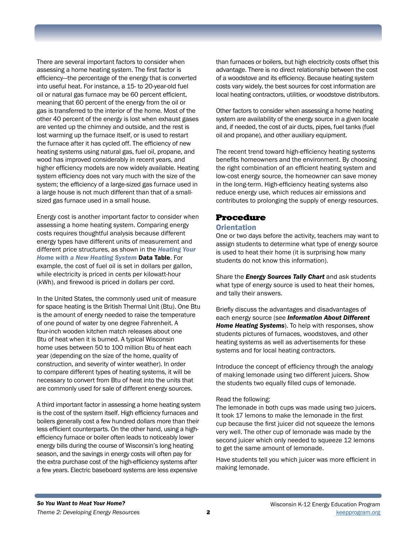There are several important factors to consider when assessing a home heating system. The first factor is efficiency—the percentage of the energy that is converted into useful heat. For instance, a 15- to 20-year-old fuel oil or natural gas furnace may be 60 percent efficient, meaning that 60 percent of the energy from the oil or gas is transferred to the interior of the home. Most of the other 40 percent of the energy is lost when exhaust gases are vented up the chimney and outside, and the rest is lost warming up the furnace itself, or is used to restart the furnace after it has cycled off. The efficiency of new heating systems using natural gas, fuel oil, propane, and wood has improved considerably in recent years, and higher efficiency models are now widely available. Heating system efficiency does not vary much with the size of the system; the efficiency of a large-sized gas furnace used in a large house is not much different than that of a smallsized gas furnace used in a small house.

Energy cost is another important factor to consider when assessing a home heating system. Comparing energy costs requires thoughtful analysis because different energy types have different units of measurement and different price structures, as shown in the *Heating Your Home with a New Heating System* Data Table. For example, the cost of fuel oil is set in dollars per gallon, while electricity is priced in cents per kilowatt-hour (kWh), and firewood is priced in dollars per cord.

In the United States, the commonly used unit of measure for space heating is the British Thermal Unit (Btu). One Btu is the amount of energy needed to raise the temperature of one pound of water by one degree Fahrenheit. A four-inch wooden kitchen match releases about one Btu of heat when it is burned. A typical Wisconsin home uses between 50 to 100 million Btu of heat each year (depending on the size of the home, quality of construction, and severity of winter weather). In order to compare different types of heating systems, it will be necessary to convert from Btu of heat into the units that are commonly used for sale of different energy sources.

A third important factor in assessing a home heating system is the cost of the system itself. High efficiency furnaces and boilers generally cost a few hundred dollars more than their less efficient counterparts. On the other hand, using a highefficiency furnace or boiler often leads to noticeably lower energy bills during the course of Wisconsin's long heating season, and the savings in energy costs will often pay for the extra purchase cost of the high-efficiency systems after a few years. Electric baseboard systems are less expensive

than furnaces or boilers, but high electricity costs offset this advantage. There is no direct relationship between the cost of a woodstove and its efficiency. Because heating system costs vary widely, the best sources for cost information are local heating contractors, utilities, or woodstove distributors.

Other factors to consider when assessing a home heating system are availability of the energy source in a given locale and, if needed, the cost of air ducts, pipes, fuel tanks (fuel oil and propane), and other auxiliary equipment.

The recent trend toward high-efficiency heating systems benefits homeowners and the environment. By choosing the right combination of an efficient heating system and low-cost energy source, the homeowner can save money in the long-term. High-efficiency heating systems also reduce energy use, which reduces air emissions and contributes to prolonging the supply of energy resources.

## Procedure

#### **Orientation**

One or two days before the activity, teachers may want to assign students to determine what type of energy source is used to heat their home (it is surprising how many students do not know this information).

Share the *Energy Sources Tally Chart* and ask students what type of energy source is used to heat their homes, and tally their answers.

Briefly discuss the advantages and disadvantages of each energy source (see *Information About Different Home Heating Systems*). To help with responses, show students pictures of furnaces, woodstoves, and other heating systems as well as advertisements for these systems and for local heating contractors.

Introduce the concept of efficiency through the analogy of making lemonade using two different juicers. Show the students two equally filled cups of lemonade.

#### Read the following:

The lemonade in both cups was made using two juicers. It took 17 lemons to make the lemonade in the first cup because the first juicer did not squeeze the lemons very well. The other cup of lemonade was made by the second juicer which only needed to squeeze 12 lemons to get the same amount of lemonade.

Have students tell you which juicer was more efficient in making lemonade.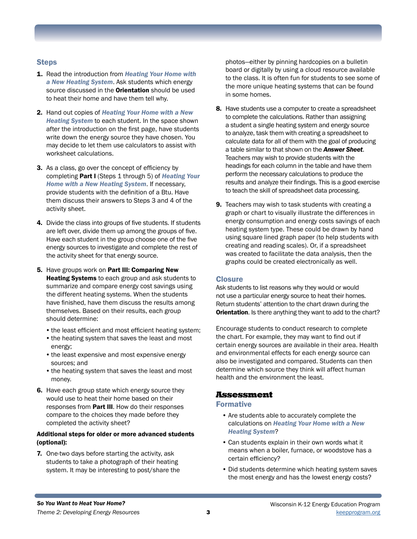### **Steps**

- 1. Read the introduction from *Heating Your Home with a New Heating System*. Ask students which energy source discussed in the **Orientation** should be used to heat their home and have them tell why.
- 2. Hand out copies of *Heating Your Home with a New Heating System* to each student. In the space shown after the introduction on the first page, have students write down the energy source they have chosen. You may decide to let them use calculators to assist with worksheet calculations.
- 3. As a class, go over the concept of efficiency by completing Part I (Steps 1 through 5) of *Heating Your Home with a New Heating System*. If necessary, provide students with the definition of a Btu. Have them discuss their answers to Steps 3 and 4 of the activity sheet.
- 4. Divide the class into groups of five students. If students are left over, divide them up among the groups of five. Have each student in the group choose one of the five energy sources to investigate and complete the rest of the activity sheet for that energy source.
- 5. Have groups work on Part III: Comparing New **Heating Systems** to each group and ask students to summarize and compare energy cost savings using the different heating systems. When the students have finished, have them discuss the results among themselves. Based on their results, each group should determine:
	- the least efficient and most efficient heating system;
	- the heating system that saves the least and most energy;
	- the least expensive and most expensive energy sources; and
	- the heating system that saves the least and most money.
- **6.** Have each group state which energy source they would use to heat their home based on their responses from Part III. How do their responses compare to the choices they made before they completed the activity sheet?

#### Additional steps for older or more advanced students (optional):

7. One-two days before starting the activity, ask students to take a photograph of their heating system. It may be interesting to post/share the photos—either by pinning hardcopies on a bulletin board or digitally by using a cloud resource available to the class. It is often fun for students to see some of the more unique heating systems that can be found in some homes.

- 8. Have students use a computer to create a spreadsheet to complete the calculations. Rather than assigning a student a single heating system and energy source to analyze, task them with creating a spreadsheet to calculate data for all of them with the goal of producing a table similar to that shown on the *Answer Sheet*. Teachers may wish to provide students with the headings for each column in the table and have them perform the necessary calculations to produce the results and analyze their findings. This is a good exercise to teach the skill of spreadsheet data processing.
- 9. Teachers may wish to task students with creating a graph or chart to visually illustrate the differences in energy consumption and energy costs savings of each heating system type. These could be drawn by hand using square lined graph paper (to help students with creating and reading scales). Or, if a spreadsheet was created to facilitate the data analysis, then the graphs could be created electronically as well.

#### **Closure**

Ask students to list reasons why they would or would not use a particular energy source to heat their homes. Return students' attention to the chart drawn during the **Orientation.** Is there anything they want to add to the chart?

Encourage students to conduct research to complete the chart. For example, they may want to find out if certain energy sources are available in their area. Health and environmental effects for each energy source can also be investigated and compared. Students can then determine which source they think will affect human health and the environment the least.

### Assessment

### Formative

- Are students able to accurately complete the calculations on *Heating Your Home with a New Heating System*?
- Can students explain in their own words what it means when a boiler, furnace, or woodstove has a certain efficiency?
- Did students determine which heating system saves the most energy and has the lowest energy costs?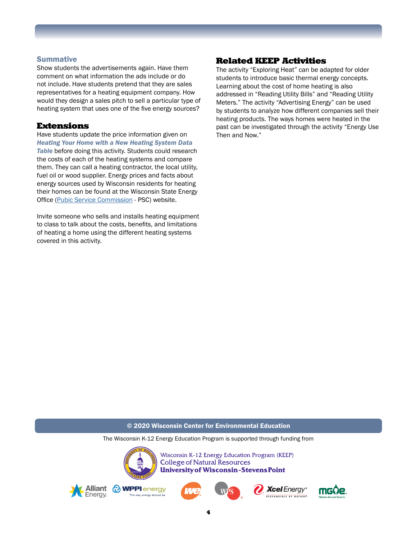#### **Summative**

Show students the advertisements again. Have them comment on what information the ads include or do not include. Have students pretend that they are sales representatives for a heating equipment company. How would they design a sales pitch to sell a particular type of heating system that uses one of the five energy sources?

#### Extensions

Have students update the price information given on *Heating Your Home with a New Heating System Data Table* before doing this activity. Students could research the costs of each of the heating systems and compare them. They can call a heating contractor, the local utility, fuel oil or wood supplier. Energy prices and facts about energy sources used by Wisconsin residents for heating their homes can be found at the Wisconsin State Energy Office ([Pubic Service Commission](http://psc.wi.gov) - PSC) website.

Invite someone who sells and installs heating equipment to class to talk about the costs, benefits, and limitations of heating a home using the different heating systems covered in this activity.

### Related KEEP Activities

The activity "Exploring Heat" can be adapted for older students to introduce basic thermal energy concepts. Learning about the cost of home heating is also addressed in "Reading Utility Bills" and "Reading Utility Meters." The activity "Advertising Energy" can be used by students to analyze how different companies sell their heating products. The ways homes were heated in the past can be investigated through the activity "Energy Use Then and Now."

#### © 2020 Wisconsin Center for Environmental Education

The Wisconsin K-12 Energy Education Program is supported through funding from



Wisconsin K-12 Energy Education Program (KEEP) **College of Natural Resources University of Wisconsin-Stevens Point** 











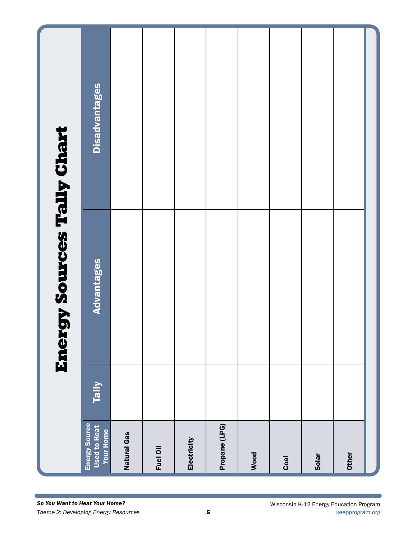|                                   | <b>Disadvantages</b>                                     |             |          |             |               |      |      |       |       |  |
|-----------------------------------|----------------------------------------------------------|-------------|----------|-------------|---------------|------|------|-------|-------|--|
| <b>Energy Sources Tally Chart</b> | Advantages                                               |             |          |             |               |      |      |       |       |  |
|                                   | <b>Tally</b>                                             |             |          |             |               |      |      |       |       |  |
|                                   | Energy Source<br><b>Used to Heat</b><br><b>Your Home</b> | Natural Gas | Fuel Oil | Electricity | Propane (LPG) | Wood | Coal | Solar | Other |  |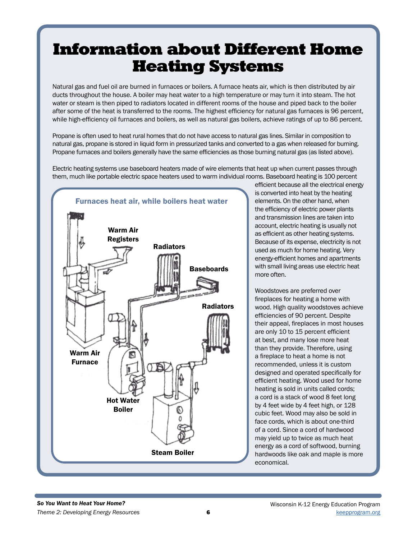# Information about Different Home Heating Systems

Natural gas and fuel oil are burned in furnaces or boilers. A furnace heats air, which is then distributed by air ducts throughout the house. A boiler may heat water to a high temperature or may turn it into steam. The hot water or steam is then piped to radiators located in different rooms of the house and piped back to the boiler after some of the heat is transferred to the rooms. The highest efficiency for natural gas furnaces is 96 percent, while high-efficiency oil furnaces and boilers, as well as natural gas boilers, achieve ratings of up to 86 percent.

Propane is often used to heat rural homes that do not have access to natural gas lines. Similar in composition to natural gas, propane is stored in liquid form in pressurized tanks and converted to a gas when released for burning. Propane furnaces and boilers generally have the same efficiencies as those burning natural gas (as listed above).

Electric heating systems use baseboard heaters made of wire elements that heat up when current passes through them, much like portable electric space heaters used to warm individual rooms. Baseboard heating is 100 percent



efficient because all the electrical energy is converted into heat by the heating elements. On the other hand, when the efficiency of electric power plants and transmission lines are taken into account, electric heating is usually not as efficient as other heating systems. Because of its expense, electricity is not used as much for home heating. Very energy-efficient homes and apartments with small living areas use electric heat more often.

Woodstoves are preferred over fireplaces for heating a home with wood. High quality woodstoves achieve efficiencies of 90 percent. Despite their appeal, fireplaces in most houses are only 10 to 15 percent efficient at best, and many lose more heat than they provide. Therefore, using a fireplace to heat a home is not recommended, unless it is custom designed and operated specifically for efficient heating. Wood used for home heating is sold in units called cords; a cord is a stack of wood 8 feet long by 4 feet wide by 4 feet high, or 128 cubic feet. Wood may also be sold in face cords, which is about one-third of a cord. Since a cord of hardwood may yield up to twice as much heat energy as a cord of softwood, burning hardwoods like oak and maple is more economical.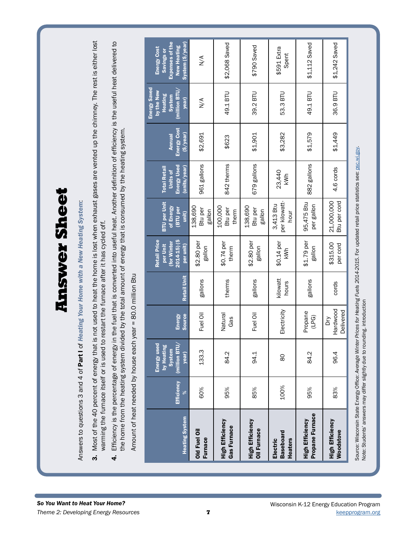Answers to questions 3 and 4 of Part I of *Heating Your Home with a New Heating System*:

**So You Manus Answers to questions 3 and 4 of Part I of Heating' Your Home with a New Heating System:**<br>Answers to questions 3 and 4 of Part I of Heating' Your Home with a New Heating System:<br>**3.** Most of the 40 percent of 3. Most of the 40 percent of energy that is not used to heat the home is lost when exhaust gases are vented up the chimney. The rest is either lost warming the furnace itself or is used to restart the furnace after it has cycled off.

4. Efficiency is the percentage of energy in the fuel that is converted into useful heat. Another definition of efficiency is the useful heat delivered to the home from the heating system divided by the total amount of energy that is consumed by the heating system.

Amount of heat needed by house each year = 80.0 million Btu Amount of heat needed by house each year = 80.0 million Btu

| <b>Heating System</b>                          | Efficiency<br>ৡ | (million BTU<br>Energy used<br>by Heating<br><b>System</b><br>year) | <b>Source</b><br><b>Energy</b> | Retail Unit       | <b>Retail Price</b><br>2014-15)(\$<br>(for Winter<br>per Unit<br>per unit) | <b>BTU</b> per Unit<br>of Energy<br>(BTU per<br>unit) | Energy Used<br>(units/year)<br><b>Total Retail</b><br>Units of | Energy Cost<br>(S/year)<br>Annual | Energy Saved<br>(million BTU)<br>by the New<br><b>Heating</b><br>System<br>year) | Expenses of the<br>System (\$/year)<br>New Heating<br>Energy Cost<br>Savings or |
|------------------------------------------------|-----------------|---------------------------------------------------------------------|--------------------------------|-------------------|----------------------------------------------------------------------------|-------------------------------------------------------|----------------------------------------------------------------|-----------------------------------|----------------------------------------------------------------------------------|---------------------------------------------------------------------------------|
| Old Fuel Oil<br><b>Furnace</b>                 | 60%             | 133.3                                                               | Fuel Oil                       | gallons           | \$2.80 per<br>gallon                                                       | 138,690<br>Btu per<br>gallon                          | 961 gallons                                                    | \$2,691                           | $\sum_{i=1}^{n}$                                                                 | $\frac{4}{\sqrt{2}}$                                                            |
| High Efficiency<br><b>Gas Furnace</b>          | 95%             | 84.2                                                                | Natural<br>Gas                 | therms            | \$0.74 per<br>therm                                                        | 100,000<br>Btu per<br>therm                           | 842 therms                                                     | \$623                             | 49.1 BTU                                                                         | \$2,068 Saved                                                                   |
| High Efficiency<br><b>Oil Furnace</b>          | 85%             | 94.1                                                                | Fuel Oil                       | gallons           | \$2.80 per<br>gallon                                                       | 138,690<br>Btu per<br>gallon                          | 679 gallons                                                    | \$1,901                           | 39.2 BTU                                                                         | \$790 Saved                                                                     |
| <b>Baseboard</b><br>Electric<br><b>Heaters</b> | 100%            | 80                                                                  | Electricity                    | kilowatt<br>hours | $$0.14$ per<br>kWh                                                         | per kilowatt-<br>3,413 Btu<br>hour                    | 23,440<br>kWh                                                  | \$3,282                           | 53.3 BTU                                                                         | \$591 Extra<br>Spent                                                            |
| Propane Furnace<br><b>High Efficiency</b>      | 95%             | 84.2                                                                | Propane<br>(LPG)               | gallons           | \$1.79 per<br>gallon                                                       | 95,475 Btu<br>per gallon                              | 882 gallons                                                    | \$1,579                           | 49.1 BTU                                                                         | \$1,112 Saved                                                                   |
| High Efficiency<br>Woodstove                   | 83%             | 96.4                                                                | Hardwood<br>Delivered<br>δň    | cords             | \$315.00<br>per cord                                                       | 21,000,000<br>Btu per cord                            | 4.6 cords                                                      | \$1,449                           | 36.9 BTU                                                                         | \$1,242 Saved                                                                   |
|                                                |                 |                                                                     |                                |                   |                                                                            |                                                       |                                                                |                                   |                                                                                  |                                                                                 |

Source: Wisconsin State Energy Office: *Average Winter Prices for Heating Fuels 2014-2015*. For updated retail price statistics see: [psc.wi.gov](http://psc.wi.gov). Source: Wisconsin State Energy Office: Average W*inter Prices for Heating Fuels 2014-2015.* For updated retail price statistics seer. <u>psc.wi.gov</u><br>Note: Students' answers may differ slightly due to rounding. introduction Note: Students' answers may differ slightly due to rounding. introduction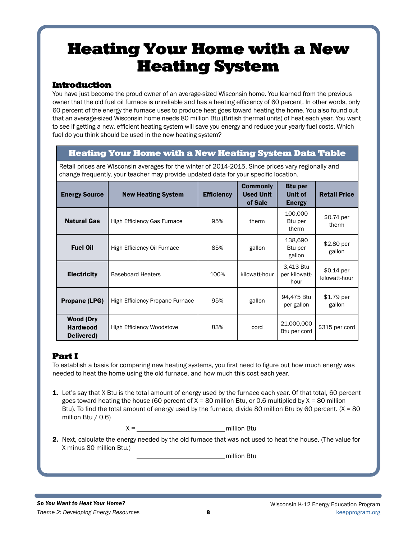# Heating Your Home with a New Heating System

## Introduction

You have just become the proud owner of an average-sized Wisconsin home. You learned from the previous owner that the old fuel oil furnace is unreliable and has a heating efficiency of 60 percent. In other words, only 60 percent of the energy the furnace uses to produce heat goes toward heating the home. You also found out that an average-sized Wisconsin home needs 80 million Btu (British thermal units) of heat each year. You want to see if getting a new, efficient heating system will save you energy and reduce your yearly fuel costs. Which fuel do you think should be used in the new heating system?

# Heating Your Home with a New Heating System Data Table

Retail prices are Wisconsin averages for the winter of 2014-2015. Since prices vary regionally and change frequently, your teacher may provide updated data for your specific location.

| <b>Energy Source</b>                              | <b>New Heating System</b>       | <b>Efficiency</b> | <b>Commonly</b><br><b>Used Unit</b><br>of Sale | <b>Btu per</b><br><b>Unit of</b><br><b>Energy</b> | <b>Retail Price</b>          |
|---------------------------------------------------|---------------------------------|-------------------|------------------------------------------------|---------------------------------------------------|------------------------------|
| <b>Natural Gas</b>                                | High Efficiency Gas Furnace     | 95%               | therm                                          | 100,000<br>Btu per<br>therm                       | $$0.74$ per<br>therm         |
| <b>Fuel Oil</b>                                   | High Efficiency Oil Furnace     | 85%               | gallon                                         | 138,690<br>Btu per<br>gallon                      | \$2.80 per<br>gallon         |
| <b>Electricity</b>                                | <b>Baseboard Heaters</b>        | 100%              | kilowatt-hour                                  | 3,413 Btu<br>per kilowatt-<br>hour                | $$0.14$ per<br>kilowatt-hour |
| Propane (LPG)                                     | High Efficiency Propane Furnace | 95%               | gallon                                         | 94.475 Btu<br>per gallon                          | $$1.79$ per<br>gallon        |
| <b>Wood (Dry</b><br><b>Hardwood</b><br>Delivered) | High Efficiency Woodstove       | 83%               | cord                                           | 21,000,000<br>Btu per cord                        | \$315 per cord               |

# Part I

To establish a basis for comparing new heating systems, you first need to figure out how much energy was needed to heat the home using the old furnace, and how much this cost each year.

1. Let's say that X Btu is the total amount of energy used by the furnace each year. Of that total, 60 percent goes toward heating the house (60 percent of  $X = 80$  million Btu, or 0.6 multiplied by  $X = 80$  million Btu). To find the total amount of energy used by the furnace, divide 80 million Btu by 60 percent.  $(X = 80$ million Btu / 0.6)

 $X =$  million Btu

2. Next, calculate the energy needed by the old furnace that was not used to heat the house. (The value for X minus 80 million Btu.)

million Btu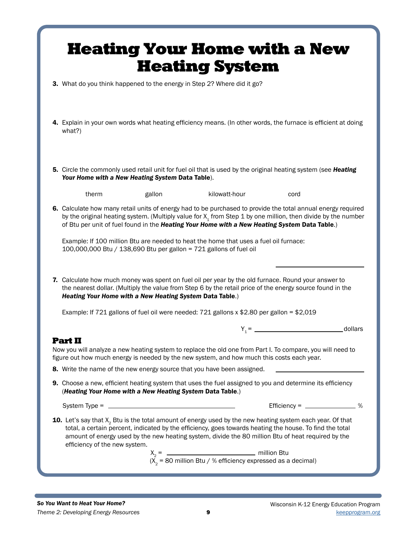|                               |                                                                    | <b>Heating Your Home with a New</b><br><b>Heating System</b>                                                                                                                                                                                                                                                                                                                                                             |                              |         |
|-------------------------------|--------------------------------------------------------------------|--------------------------------------------------------------------------------------------------------------------------------------------------------------------------------------------------------------------------------------------------------------------------------------------------------------------------------------------------------------------------------------------------------------------------|------------------------------|---------|
|                               |                                                                    | 3. What do you think happened to the energy in Step 2? Where did it go?                                                                                                                                                                                                                                                                                                                                                  |                              |         |
| what?)                        |                                                                    | 4. Explain in your own words what heating efficiency means. (In other words, the furnace is efficient at doing                                                                                                                                                                                                                                                                                                           |                              |         |
|                               | Your Home with a New Heating System Data Table).                   | 5. Circle the commonly used retail unit for fuel oil that is used by the original heating system (see Heating                                                                                                                                                                                                                                                                                                            |                              |         |
| therm                         | gallon                                                             | kilowatt-hour                                                                                                                                                                                                                                                                                                                                                                                                            | cord                         |         |
|                               | 100,000,000 Btu / 138,690 Btu per gallon = 721 gallons of fuel oil | 6. Calculate how many retail units of energy had to be purchased to provide the total annual energy required<br>by the original heating system. (Multiply value for $X1$ from Step 1 by one million, then divide by the number<br>of Btu per unit of fuel found in the Heating Your Home with a New Heating System Data Table.)<br>Example: If 100 million Btu are needed to heat the home that uses a fuel oil furnace: |                              |         |
|                               | Heating Your Home with a New Heating System Data Table.)           | 7. Calculate how much money was spent on fuel oil per year by the old furnace. Round your answer to<br>the nearest dollar. (Multiply the value from Step 6 by the retail price of the energy source found in the                                                                                                                                                                                                         |                              |         |
|                               |                                                                    | Example: If 721 gallons of fuel oil were needed: 721 gallons $x$ \$2.80 per gallon = \$2,019                                                                                                                                                                                                                                                                                                                             |                              |         |
|                               |                                                                    |                                                                                                                                                                                                                                                                                                                                                                                                                          | $Y_1 = \_$                   | dollars |
| Part II                       |                                                                    | Now you will analyze a new heating system to replace the old one from Part I. To compare, you will need to<br>figure out how much energy is needed by the new system, and how much this costs each year.                                                                                                                                                                                                                 |                              |         |
|                               |                                                                    | 8. Write the name of the new energy source that you have been assigned.                                                                                                                                                                                                                                                                                                                                                  |                              |         |
|                               | (Heating Your Home with a New Heating System Data Table.)          | 9. Choose a new, efficient heating system that uses the fuel assigned to you and determine its efficiency                                                                                                                                                                                                                                                                                                                |                              |         |
|                               | System Type = $\frac{1}{2}$                                        |                                                                                                                                                                                                                                                                                                                                                                                                                          | Efficiency = $\frac{1}{2}$ % |         |
| efficiency of the new system. |                                                                    | <b>10.</b> Let's say that $X_2$ Btu is the total amount of energy used by the new heating system each year. Of that<br>total, a certain percent, indicated by the efficiency, goes towards heating the house. To find the total<br>amount of energy used by the new heating system, divide the 80 million Btu of heat required by the                                                                                    |                              |         |
|                               |                                                                    | $X_2 =$ million Btu<br>$(X_2 = 80 \text{ million Btu} / %$ efficiency expressed as a decimal)                                                                                                                                                                                                                                                                                                                            |                              |         |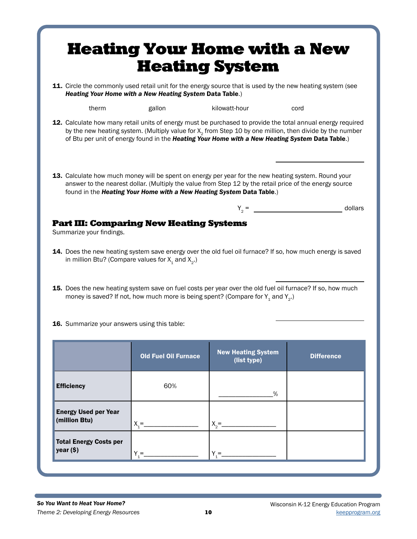|                                                                                                                          |                                                                                                                                                                                                                                                                                                                              | <b>Heating System</b>                    |         |                   |
|--------------------------------------------------------------------------------------------------------------------------|------------------------------------------------------------------------------------------------------------------------------------------------------------------------------------------------------------------------------------------------------------------------------------------------------------------------------|------------------------------------------|---------|-------------------|
|                                                                                                                          | 11. Circle the commonly used retail unit for the energy source that is used by the new heating system (see<br>Heating Your Home with a New Heating System Data Table.)                                                                                                                                                       |                                          |         |                   |
| therm                                                                                                                    | gallon                                                                                                                                                                                                                                                                                                                       | kilowatt-hour                            | cord    |                   |
|                                                                                                                          | 12. Calculate how many retail units of energy must be purchased to provide the total annual energy required<br>by the new heating system. (Multiply value for $X2$ from Step 10 by one million, then divide by the number<br>of Btu per unit of energy found in the Heating Your Home with a New Heating System Data Table.) |                                          |         |                   |
|                                                                                                                          | 13. Calculate how much money will be spent on energy per year for the new heating system. Round your<br>answer to the nearest dollar. (Multiply the value from Step 12 by the retail price of the energy source<br>found in the Heating Your Home with a New Heating System Data Table.)                                     |                                          |         |                   |
|                                                                                                                          |                                                                                                                                                                                                                                                                                                                              |                                          | $Y_2 =$ | dollars           |
|                                                                                                                          | 14. Does the new heating system save energy over the old fuel oil furnace? If so, how much energy is saved<br>in million Btu? (Compare values for $X_1$ and $X_2$ .)                                                                                                                                                         |                                          |         |                   |
|                                                                                                                          | 15. Does the new heating system save on fuel costs per year over the old fuel oil furnace? If so, how much<br>money is saved? If not, how much more is being spent? (Compare for $Y_1$ and $Y_2$ .)                                                                                                                          |                                          |         |                   |
|                                                                                                                          |                                                                                                                                                                                                                                                                                                                              |                                          |         |                   |
|                                                                                                                          | <b>Old Fuel Oil Furnace</b>                                                                                                                                                                                                                                                                                                  | <b>New Heating System</b><br>(list type) |         | <b>Difference</b> |
| <b>Efficiency</b>                                                                                                        | 60%                                                                                                                                                                                                                                                                                                                          |                                          | $\%$    |                   |
| Summarize your findings.<br>16. Summarize your answers using this table:<br><b>Energy Used per Year</b><br>(million Btu) | $X_1 =$                                                                                                                                                                                                                                                                                                                      | $X_{2} =$                                |         |                   |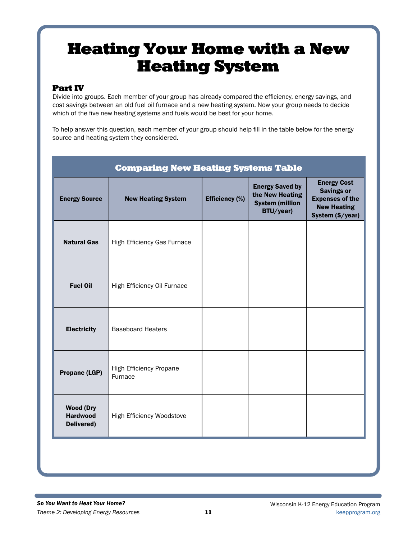# Heating Your Home with a New Heating System

## Part IV

Divide into groups. Each member of your group has already compared the efficiency, energy savings, and cost savings between an old fuel oil furnace and a new heating system. Now your group needs to decide which of the five new heating systems and fuels would be best for your home.

To help answer this question, each member of your group should help fill in the table below for the energy source and heating system they considered.

|                                                   | <b>Comparing New Heating Systems Table</b> |                       |                                                                                  |                                                                                                             |
|---------------------------------------------------|--------------------------------------------|-----------------------|----------------------------------------------------------------------------------|-------------------------------------------------------------------------------------------------------------|
| <b>Energy Source</b>                              | <b>New Heating System</b>                  | <b>Efficiency (%)</b> | <b>Energy Saved by</b><br>the New Heating<br><b>System (million</b><br>BTU/year) | <b>Energy Cost</b><br><b>Savings or</b><br><b>Expenses of the</b><br><b>New Heating</b><br>System (\$/year) |
| <b>Natural Gas</b>                                | High Efficiency Gas Furnace                |                       |                                                                                  |                                                                                                             |
| <b>Fuel Oil</b>                                   | High Efficiency Oil Furnace                |                       |                                                                                  |                                                                                                             |
| <b>Electricity</b>                                | <b>Baseboard Heaters</b>                   |                       |                                                                                  |                                                                                                             |
| <b>Propane (LGP)</b>                              | <b>High Efficiency Propane</b><br>Furnace  |                       |                                                                                  |                                                                                                             |
| <b>Wood (Dry</b><br><b>Hardwood</b><br>Delivered) | High Efficiency Woodstove                  |                       |                                                                                  |                                                                                                             |
|                                                   |                                            |                       |                                                                                  |                                                                                                             |